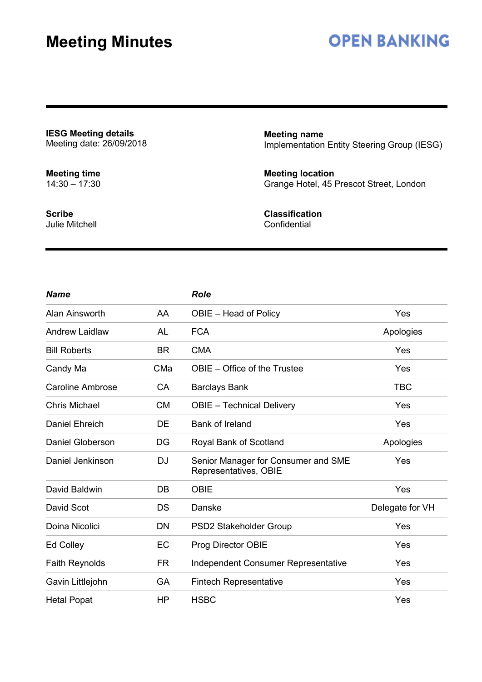## **OPEN BANKING**

**IESG Meeting details** Meeting date: 26/09/2018

**Meeting time** 14:30 – 17:30 **Meeting name** Implementation Entity Steering Group (IESG)

**Meeting location** Grange Hotel, 45 Prescot Street, London

**Scribe** Julie Mitchell **Classification Confidential** 

| <b>Name</b>             |           | <b>Role</b>                                                  |                 |
|-------------------------|-----------|--------------------------------------------------------------|-----------------|
| Alan Ainsworth          | AA        | OBIE - Head of Policy                                        | Yes             |
| <b>Andrew Laidlaw</b>   | <b>AL</b> | <b>FCA</b>                                                   | Apologies       |
| <b>Bill Roberts</b>     | <b>BR</b> | <b>CMA</b>                                                   | Yes             |
| Candy Ma                | CMa       | OBIE – Office of the Trustee                                 | Yes             |
| <b>Caroline Ambrose</b> | <b>CA</b> | <b>Barclays Bank</b>                                         | <b>TBC</b>      |
| <b>Chris Michael</b>    | <b>CM</b> | <b>OBIE</b> - Technical Delivery                             | Yes             |
| Daniel Ehreich          | DE.       | <b>Bank of Ireland</b>                                       | Yes             |
| Daniel Globerson        | DG        | Royal Bank of Scotland                                       | Apologies       |
| Daniel Jenkinson        | <b>DJ</b> | Senior Manager for Consumer and SME<br>Representatives, OBIE | Yes             |
| David Baldwin           | <b>DB</b> | <b>OBIE</b>                                                  | Yes             |
| David Scot              | <b>DS</b> | Danske                                                       | Delegate for VH |
| Doina Nicolici          | <b>DN</b> | PSD2 Stakeholder Group                                       | Yes             |
| Ed Colley               | EC        | Prog Director OBIE                                           | Yes             |
| <b>Faith Reynolds</b>   | <b>FR</b> | <b>Independent Consumer Representative</b>                   | Yes             |
| Gavin Littlejohn        | <b>GA</b> | <b>Fintech Representative</b>                                | Yes             |
| <b>Hetal Popat</b>      | HP        | <b>HSBC</b>                                                  | Yes             |
|                         |           |                                                              |                 |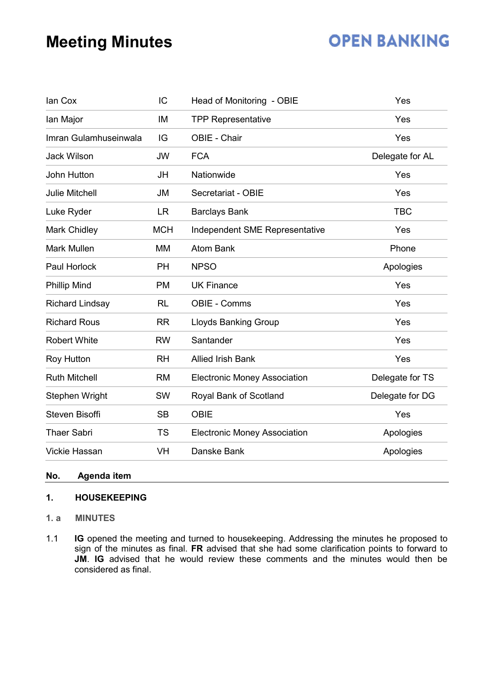## **OPEN BANKING**

| lan Cox                | IC         | Head of Monitoring - OBIE           | Yes             |
|------------------------|------------|-------------------------------------|-----------------|
| lan Major              | IM         | <b>TPP Representative</b>           | Yes             |
| Imran Gulamhuseinwala  | IG         | OBIE - Chair                        | Yes             |
| <b>Jack Wilson</b>     | <b>JW</b>  | <b>FCA</b>                          | Delegate for AL |
| John Hutton            | JH         | Nationwide                          | Yes             |
| <b>Julie Mitchell</b>  | <b>JM</b>  | Secretariat - OBIE                  | Yes             |
| Luke Ryder             | LR         | <b>Barclays Bank</b>                | <b>TBC</b>      |
| Mark Chidley           | <b>MCH</b> | Independent SME Representative      | Yes             |
| <b>Mark Mullen</b>     | <b>MM</b>  | <b>Atom Bank</b>                    | Phone           |
| Paul Horlock           | <b>PH</b>  | <b>NPSO</b>                         | Apologies       |
| <b>Phillip Mind</b>    | <b>PM</b>  | <b>UK Finance</b>                   | Yes             |
| <b>Richard Lindsay</b> | <b>RL</b>  | <b>OBIE - Comms</b>                 | Yes             |
| <b>Richard Rous</b>    | <b>RR</b>  | <b>Lloyds Banking Group</b>         | Yes             |
| <b>Robert White</b>    | <b>RW</b>  | Santander                           | Yes             |
| Roy Hutton             | <b>RH</b>  | <b>Allied Irish Bank</b>            | Yes             |
| <b>Ruth Mitchell</b>   | <b>RM</b>  | <b>Electronic Money Association</b> | Delegate for TS |
| Stephen Wright         | <b>SW</b>  | Royal Bank of Scotland              | Delegate for DG |
| <b>Steven Bisoffi</b>  | <b>SB</b>  | <b>OBIE</b>                         | Yes             |
| <b>Thaer Sabri</b>     | <b>TS</b>  | <b>Electronic Money Association</b> | Apologies       |
| <b>Vickie Hassan</b>   | VH         | Danske Bank                         | Apologies       |
|                        |            |                                     |                 |

### **No. Agenda item**

### **1. HOUSEKEEPING**

- **1. a MINUTES**
- 1.1 **IG** opened the meeting and turned to housekeeping. Addressing the minutes he proposed to sign of the minutes as final. **FR** advised that she had some clarification points to forward to **JM**. **IG** advised that he would review these comments and the minutes would then be considered as final.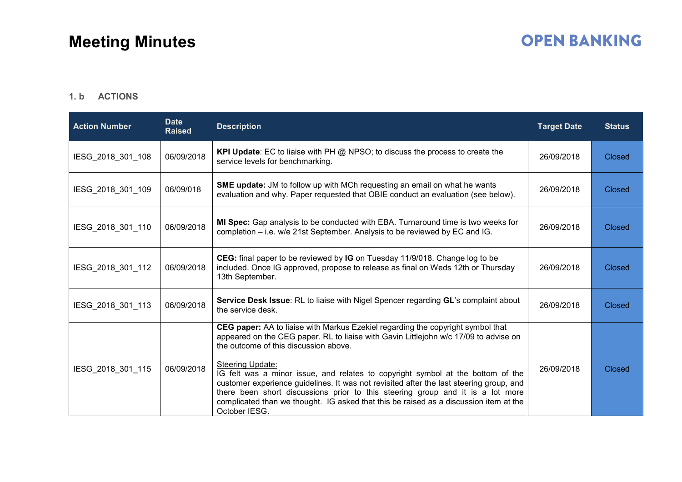## **OPEN BANKING**

### **1. b ACTIONS**

| <b>Action Number</b> | <b>Date</b><br><b>Raised</b> | <b>Description</b>                                                                                                                                                                                                                                                                                                                                                                                                                                                                                                                                                                                             | <b>Target Date</b> | <b>Status</b> |
|----------------------|------------------------------|----------------------------------------------------------------------------------------------------------------------------------------------------------------------------------------------------------------------------------------------------------------------------------------------------------------------------------------------------------------------------------------------------------------------------------------------------------------------------------------------------------------------------------------------------------------------------------------------------------------|--------------------|---------------|
| IESG_2018_301_108    | 06/09/2018                   | <b>KPI Update:</b> EC to liaise with PH @ NPSO; to discuss the process to create the<br>service levels for benchmarking.                                                                                                                                                                                                                                                                                                                                                                                                                                                                                       | 26/09/2018         | <b>Closed</b> |
| IESG 2018 301 109    | 06/09/018                    | <b>SME update:</b> JM to follow up with MCh requesting an email on what he wants<br>evaluation and why. Paper requested that OBIE conduct an evaluation (see below).                                                                                                                                                                                                                                                                                                                                                                                                                                           | 26/09/2018         | <b>Closed</b> |
| IESG 2018 301 110    | 06/09/2018                   | MI Spec: Gap analysis to be conducted with EBA. Turnaround time is two weeks for<br>completion – i.e. w/e 21st September. Analysis to be reviewed by EC and IG.                                                                                                                                                                                                                                                                                                                                                                                                                                                | 26/09/2018         | <b>Closed</b> |
| IESG 2018 301 112    | 06/09/2018                   | CEG: final paper to be reviewed by IG on Tuesday 11/9/018. Change log to be<br>included. Once IG approved, propose to release as final on Weds 12th or Thursday<br>13th September.                                                                                                                                                                                                                                                                                                                                                                                                                             | 26/09/2018         | <b>Closed</b> |
| IESG 2018 301 113    | 06/09/2018                   | Service Desk Issue: RL to liaise with Nigel Spencer regarding GL's complaint about<br>the service desk.                                                                                                                                                                                                                                                                                                                                                                                                                                                                                                        | 26/09/2018         | <b>Closed</b> |
| IESG 2018 301 115    | 06/09/2018                   | CEG paper: AA to liaise with Markus Ezekiel regarding the copyright symbol that<br>appeared on the CEG paper. RL to liaise with Gavin Littlejohn w/c 17/09 to advise on<br>the outcome of this discussion above.<br>Steering Update:<br>IG felt was a minor issue, and relates to copyright symbol at the bottom of the<br>customer experience guidelines. It was not revisited after the last steering group, and<br>there been short discussions prior to this steering group and it is a lot more<br>complicated than we thought. IG asked that this be raised as a discussion item at the<br>October IESG. | 26/09/2018         | <b>Closed</b> |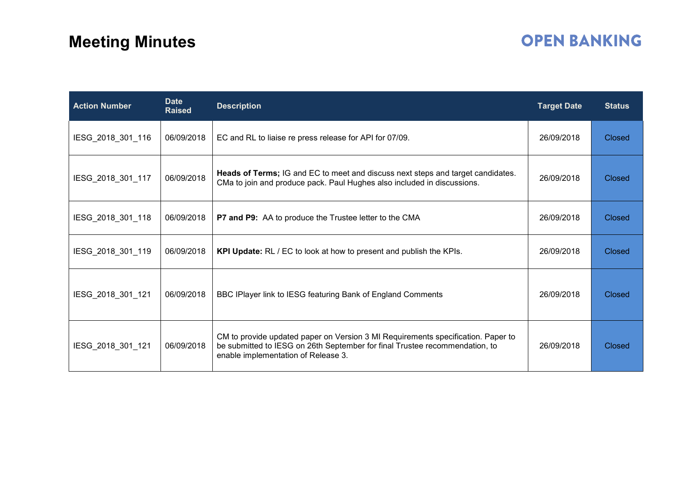## **OPEN BANKING**

| <b>Action Number</b> | <b>Date</b><br><b>Raised</b> | <b>Description</b>                                                                                                                                                                                     | <b>Target Date</b> | <b>Status</b> |
|----------------------|------------------------------|--------------------------------------------------------------------------------------------------------------------------------------------------------------------------------------------------------|--------------------|---------------|
| IESG_2018_301_116    | 06/09/2018                   | EC and RL to liaise re press release for API for 07/09.                                                                                                                                                | 26/09/2018         | <b>Closed</b> |
| IESG_2018_301_117    | 06/09/2018                   | Heads of Terms; IG and EC to meet and discuss next steps and target candidates.<br>CMa to join and produce pack. Paul Hughes also included in discussions.                                             | 26/09/2018         | <b>Closed</b> |
| IESG_2018_301_118    | 06/09/2018                   | P7 and P9: AA to produce the Trustee letter to the CMA                                                                                                                                                 | 26/09/2018         | <b>Closed</b> |
| IESG_2018_301_119    | 06/09/2018                   | <b>KPI Update:</b> RL / EC to look at how to present and publish the KPIs.                                                                                                                             | 26/09/2018         | <b>Closed</b> |
| IESG_2018_301_121    | 06/09/2018                   | BBC IPlayer link to IESG featuring Bank of England Comments                                                                                                                                            | 26/09/2018         | Closed        |
| IESG_2018_301_121    | 06/09/2018                   | CM to provide updated paper on Version 3 MI Requirements specification. Paper to<br>be submitted to IESG on 26th September for final Trustee recommendation, to<br>enable implementation of Release 3. | 26/09/2018         | Closed        |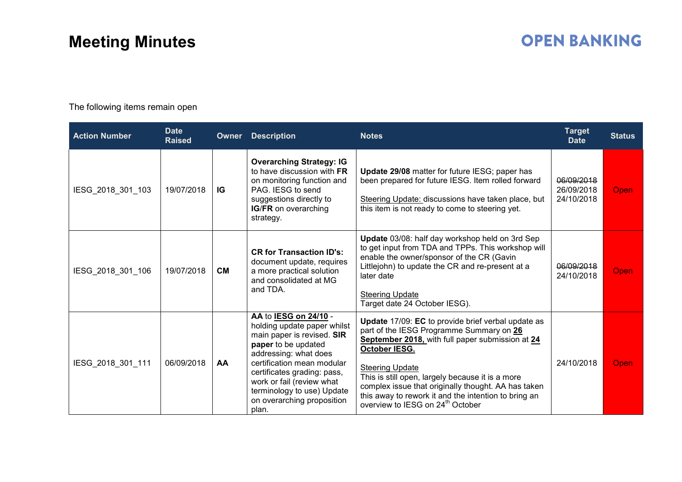## **OPEN BANKING**

The following items remain open

| <b>Action Number</b> | <b>Date</b><br><b>Raised</b> | <b>Owner</b> | <b>Description</b>                                                                                                                                                                                                                                                                                | <b>Notes</b>                                                                                                                                                                                                                                                                                                                                                                                                     | <b>Target</b><br><b>Date</b>           | <b>Status</b> |
|----------------------|------------------------------|--------------|---------------------------------------------------------------------------------------------------------------------------------------------------------------------------------------------------------------------------------------------------------------------------------------------------|------------------------------------------------------------------------------------------------------------------------------------------------------------------------------------------------------------------------------------------------------------------------------------------------------------------------------------------------------------------------------------------------------------------|----------------------------------------|---------------|
| IESG_2018_301_103    | 19/07/2018                   | IG           | <b>Overarching Strategy: IG</b><br>to have discussion with FR<br>on monitoring function and<br>PAG. IESG to send<br>suggestions directly to<br>IG/FR on overarching<br>strategy.                                                                                                                  | Update 29/08 matter for future IESG; paper has<br>been prepared for future IESG. Item rolled forward<br>Steering Update: discussions have taken place, but<br>this item is not ready to come to steering yet.                                                                                                                                                                                                    | 06/09/2018<br>26/09/2018<br>24/10/2018 | Open          |
| IESG_2018_301_106    | 19/07/2018                   | <b>CM</b>    | <b>CR for Transaction ID's:</b><br>document update, requires<br>a more practical solution<br>and consolidated at MG<br>and TDA.                                                                                                                                                                   | Update 03/08: half day workshop held on 3rd Sep<br>to get input from TDA and TPPs. This workshop will<br>enable the owner/sponsor of the CR (Gavin<br>Littlejohn) to update the CR and re-present at a<br>later date<br><b>Steering Update</b><br>Target date 24 October IESG).                                                                                                                                  | 06/09/2018<br>24/10/2018               | Open          |
| IESG_2018_301_111    | 06/09/2018                   | <b>AA</b>    | AA to IESG on 24/10 -<br>holding update paper whilst<br>main paper is revised. SIR<br>paper to be updated<br>addressing: what does<br>certification mean modular<br>certificates grading: pass,<br>work or fail (review what<br>terminology to use) Update<br>on overarching proposition<br>plan. | Update 17/09: EC to provide brief verbal update as<br>part of the IESG Programme Summary on 26<br>September 2018, with full paper submission at 24<br>October IESG.<br><b>Steering Update</b><br>This is still open, largely because it is a more<br>complex issue that originally thought. AA has taken<br>this away to rework it and the intention to bring an<br>overview to IESG on 24 <sup>th</sup> October | 24/10/2018                             | Open          |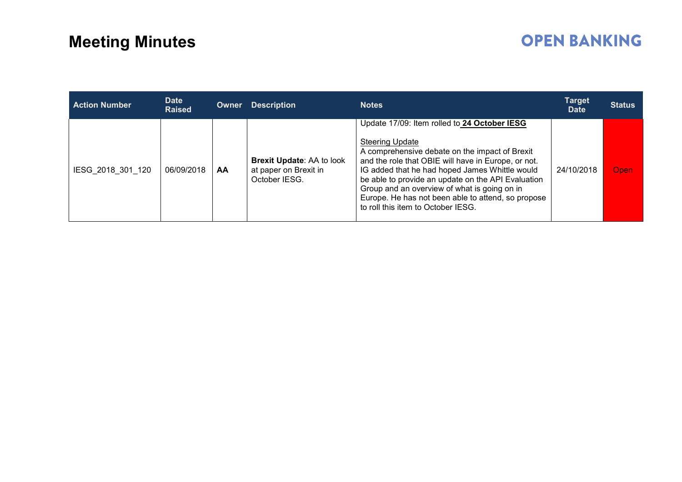## **OPEN BANKING**

| <b>Action Number</b> | <b>Date</b><br><b>Raised</b> | Owner | <b>Description</b>                                                         | <b>Notes</b>                                                                                                                                                                                                                                                                                                                                                                                                                        | <b>Target</b><br><b>Date</b> | <b>Status</b> |
|----------------------|------------------------------|-------|----------------------------------------------------------------------------|-------------------------------------------------------------------------------------------------------------------------------------------------------------------------------------------------------------------------------------------------------------------------------------------------------------------------------------------------------------------------------------------------------------------------------------|------------------------------|---------------|
| IESG 2018 301 120    | 06/09/2018                   | AА    | <b>Brexit Update: AA to look</b><br>at paper on Brexit in<br>October IESG. | Update 17/09: Item rolled to 24 October IESG<br><b>Steering Update</b><br>A comprehensive debate on the impact of Brexit<br>and the role that OBIE will have in Europe, or not.<br>IG added that he had hoped James Whittle would<br>be able to provide an update on the API Evaluation<br>Group and an overview of what is going on in<br>Europe. He has not been able to attend, so propose<br>to roll this item to October IESG. | 24/10/2018                   | Open          |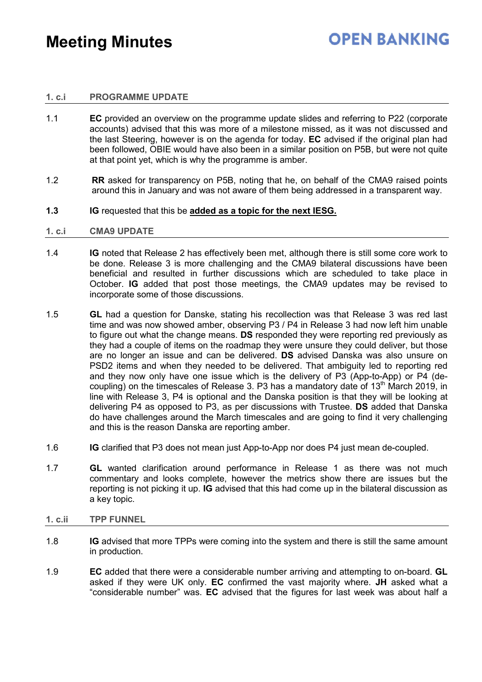### **1. c.i PROGRAMME UPDATE**

- 1.1 **EC** provided an overview on the programme update slides and referring to P22 (corporate accounts) advised that this was more of a milestone missed, as it was not discussed and the last Steering, however is on the agenda for today. **EC** advised if the original plan had been followed, OBIE would have also been in a similar position on P5B, but were not quite at that point yet, which is why the programme is amber.
- 1.2 **RR** asked for transparency on P5B, noting that he, on behalf of the CMA9 raised points around this in January and was not aware of them being addressed in a transparent way.
- **1.3 IG** requested that this be **added as a topic for the next IESG.**

#### **1. c.i CMA9 UPDATE**

- 1.4 **IG** noted that Release 2 has effectively been met, although there is still some core work to be done. Release 3 is more challenging and the CMA9 bilateral discussions have been beneficial and resulted in further discussions which are scheduled to take place in October. **IG** added that post those meetings, the CMA9 updates may be revised to incorporate some of those discussions.
- 1.5 **GL** had a question for Danske, stating his recollection was that Release 3 was red last time and was now showed amber, observing P3 / P4 in Release 3 had now left him unable to figure out what the change means. **DS** responded they were reporting red previously as they had a couple of items on the roadmap they were unsure they could deliver, but those are no longer an issue and can be delivered. **DS** advised Danska was also unsure on PSD2 items and when they needed to be delivered. That ambiguity led to reporting red and they now only have one issue which is the delivery of P3 (App-to-App) or P4 (decoupling) on the timescales of Release 3. P3 has a mandatory date of  $13<sup>th</sup>$  March 2019, in line with Release 3, P4 is optional and the Danska position is that they will be looking at delivering P4 as opposed to P3, as per discussions with Trustee. **DS** added that Danska do have challenges around the March timescales and are going to find it very challenging and this is the reason Danska are reporting amber.
- 1.6 **IG** clarified that P3 does not mean just App-to-App nor does P4 just mean de-coupled.
- 1.7 **GL** wanted clarification around performance in Release 1 as there was not much commentary and looks complete, however the metrics show there are issues but the reporting is not picking it up. **IG** advised that this had come up in the bilateral discussion as a key topic.

#### **1. c.ii TPP FUNNEL**

- 1.8 **IG** advised that more TPPs were coming into the system and there is still the same amount in production.
- 1.9 **EC** added that there were a considerable number arriving and attempting to on-board. **GL** asked if they were UK only. **EC** confirmed the vast majority where. **JH** asked what a "considerable number" was. **EC** advised that the figures for last week was about half a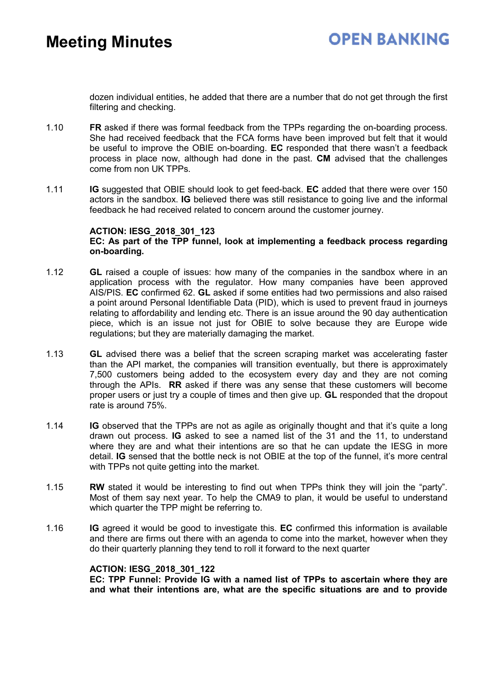dozen individual entities, he added that there are a number that do not get through the first filtering and checking.

- 1.10 **FR** asked if there was formal feedback from the TPPs regarding the on-boarding process. She had received feedback that the FCA forms have been improved but felt that it would be useful to improve the OBIE on-boarding. **EC** responded that there wasn't a feedback process in place now, although had done in the past. **CM** advised that the challenges come from non UK TPPs.
- 1.11 **IG** suggested that OBIE should look to get feed-back. **EC** added that there were over 150 actors in the sandbox. **IG** believed there was still resistance to going live and the informal feedback he had received related to concern around the customer journey.

#### **ACTION: IESG\_2018\_301\_123 EC: As part of the TPP funnel, look at implementing a feedback process regarding on-boarding.**

- 1.12 **GL** raised a couple of issues: how many of the companies in the sandbox where in an application process with the regulator. How many companies have been approved AIS/PIS. **EC** confirmed 62. **GL** asked if some entities had two permissions and also raised a point around Personal Identifiable Data (PID), which is used to prevent fraud in journeys relating to affordability and lending etc. There is an issue around the 90 day authentication piece, which is an issue not just for OBIE to solve because they are Europe wide regulations; but they are materially damaging the market.
- 1.13 **GL** advised there was a belief that the screen scraping market was accelerating faster than the API market, the companies will transition eventually, but there is approximately 7,500 customers being added to the ecosystem every day and they are not coming through the APIs. **RR** asked if there was any sense that these customers will become proper users or just try a couple of times and then give up. **GL** responded that the dropout rate is around 75%.
- 1.14 **IG** observed that the TPPs are not as agile as originally thought and that it's quite a long drawn out process. **IG** asked to see a named list of the 31 and the 11, to understand where they are and what their intentions are so that he can update the IESG in more detail. **IG** sensed that the bottle neck is not OBIE at the top of the funnel, it's more central with TPPs not quite getting into the market.
- 1.15 **RW** stated it would be interesting to find out when TPPs think they will join the "party". Most of them say next year. To help the CMA9 to plan, it would be useful to understand which quarter the TPP might be referring to.
- 1.16 **IG** agreed it would be good to investigate this. **EC** confirmed this information is available and there are firms out there with an agenda to come into the market, however when they do their quarterly planning they tend to roll it forward to the next quarter

### **ACTION: IESG\_2018\_301\_122**

**EC: TPP Funnel: Provide IG with a named list of TPPs to ascertain where they are and what their intentions are, what are the specific situations are and to provide**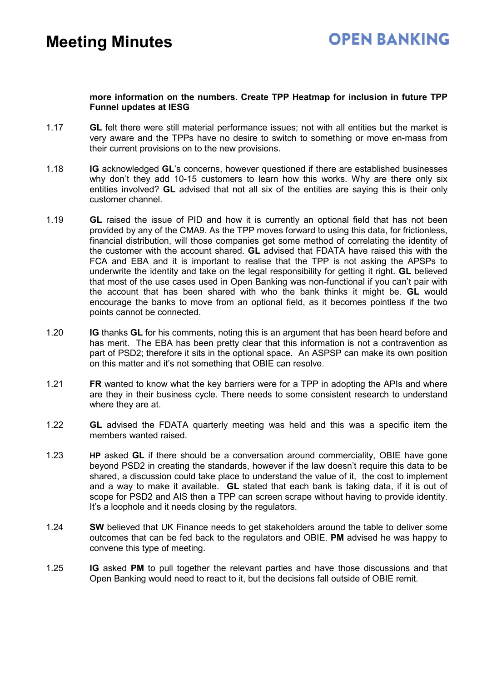### **more information on the numbers. Create TPP Heatmap for inclusion in future TPP Funnel updates at IESG**

- 1.17 **GL** felt there were still material performance issues; not with all entities but the market is very aware and the TPPs have no desire to switch to something or move en-mass from their current provisions on to the new provisions.
- 1.18 **IG** acknowledged **GL**'s concerns, however questioned if there are established businesses why don't they add 10-15 customers to learn how this works. Why are there only six entities involved? **GL** advised that not all six of the entities are saying this is their only customer channel.
- 1.19 **GL** raised the issue of PID and how it is currently an optional field that has not been provided by any of the CMA9. As the TPP moves forward to using this data, for frictionless, financial distribution, will those companies get some method of correlating the identity of the customer with the account shared. **GL** advised that FDATA have raised this with the FCA and EBA and it is important to realise that the TPP is not asking the APSPs to underwrite the identity and take on the legal responsibility for getting it right. **GL** believed that most of the use cases used in Open Banking was non-functional if you can't pair with the account that has been shared with who the bank thinks it might be. **GL** would encourage the banks to move from an optional field, as it becomes pointless if the two points cannot be connected.
- 1.20 **IG** thanks **GL** for his comments, noting this is an argument that has been heard before and has merit. The EBA has been pretty clear that this information is not a contravention as part of PSD2; therefore it sits in the optional space. An ASPSP can make its own position on this matter and it's not something that OBIE can resolve.
- 1.21 **FR** wanted to know what the key barriers were for a TPP in adopting the APIs and where are they in their business cycle. There needs to some consistent research to understand where they are at.
- 1.22 **GL** advised the FDATA quarterly meeting was held and this was a specific item the members wanted raised.
- 1.23 **HP** asked **GL** if there should be a conversation around commerciality, OBIE have gone beyond PSD2 in creating the standards, however if the law doesn't require this data to be shared, a discussion could take place to understand the value of it, the cost to implement and a way to make it available. **GL** stated that each bank is taking data, if it is out of scope for PSD2 and AIS then a TPP can screen scrape without having to provide identity. It's a loophole and it needs closing by the regulators.
- 1.24 **SW** believed that UK Finance needs to get stakeholders around the table to deliver some outcomes that can be fed back to the regulators and OBIE. **PM** advised he was happy to convene this type of meeting.
- 1.25 **IG** asked **PM** to pull together the relevant parties and have those discussions and that Open Banking would need to react to it, but the decisions fall outside of OBIE remit.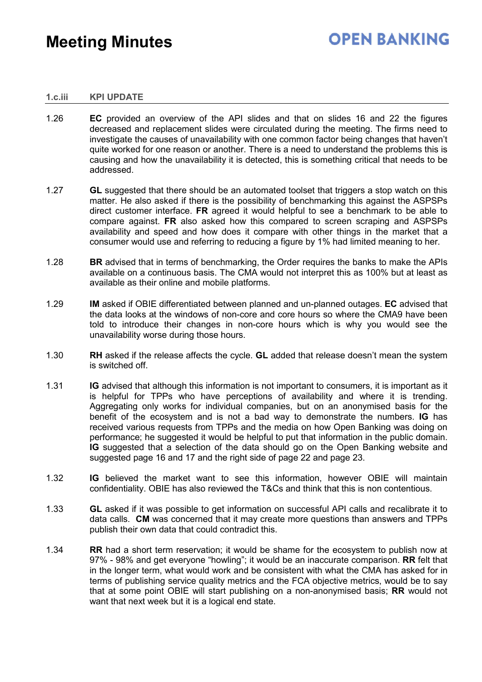## **OPEN BANKING**

#### **1.c.iii KPI UPDATE**

- 1.26 **EC** provided an overview of the API slides and that on slides 16 and 22 the figures decreased and replacement slides were circulated during the meeting. The firms need to investigate the causes of unavailability with one common factor being changes that haven't quite worked for one reason or another. There is a need to understand the problems this is causing and how the unavailability it is detected, this is something critical that needs to be addressed.
- 1.27 **GL** suggested that there should be an automated toolset that triggers a stop watch on this matter. He also asked if there is the possibility of benchmarking this against the ASPSPs direct customer interface. **FR** agreed it would helpful to see a benchmark to be able to compare against. **FR** also asked how this compared to screen scraping and ASPSPs availability and speed and how does it compare with other things in the market that a consumer would use and referring to reducing a figure by 1% had limited meaning to her.
- 1.28 **BR** advised that in terms of benchmarking, the Order requires the banks to make the APIs available on a continuous basis. The CMA would not interpret this as 100% but at least as available as their online and mobile platforms.
- 1.29 **IM** asked if OBIE differentiated between planned and un-planned outages. **EC** advised that the data looks at the windows of non-core and core hours so where the CMA9 have been told to introduce their changes in non-core hours which is why you would see the unavailability worse during those hours.
- 1.30 **RH** asked if the release affects the cycle. **GL** added that release doesn't mean the system is switched off.
- 1.31 **IG** advised that although this information is not important to consumers, it is important as it is helpful for TPPs who have perceptions of availability and where it is trending. Aggregating only works for individual companies, but on an anonymised basis for the benefit of the ecosystem and is not a bad way to demonstrate the numbers. **IG** has received various requests from TPPs and the media on how Open Banking was doing on performance; he suggested it would be helpful to put that information in the public domain. **IG** suggested that a selection of the data should go on the Open Banking website and suggested page 16 and 17 and the right side of page 22 and page 23.
- 1.32 **IG** believed the market want to see this information, however OBIE will maintain confidentiality. OBIE has also reviewed the T&Cs and think that this is non contentious.
- 1.33 **GL** asked if it was possible to get information on successful API calls and recalibrate it to data calls. **CM** was concerned that it may create more questions than answers and TPPs publish their own data that could contradict this.
- 1.34 **RR** had a short term reservation; it would be shame for the ecosystem to publish now at 97% - 98% and get everyone "howling"; it would be an inaccurate comparison. **RR** felt that in the longer term, what would work and be consistent with what the CMA has asked for in terms of publishing service quality metrics and the FCA objective metrics, would be to say that at some point OBIE will start publishing on a non-anonymised basis; **RR** would not want that next week but it is a logical end state.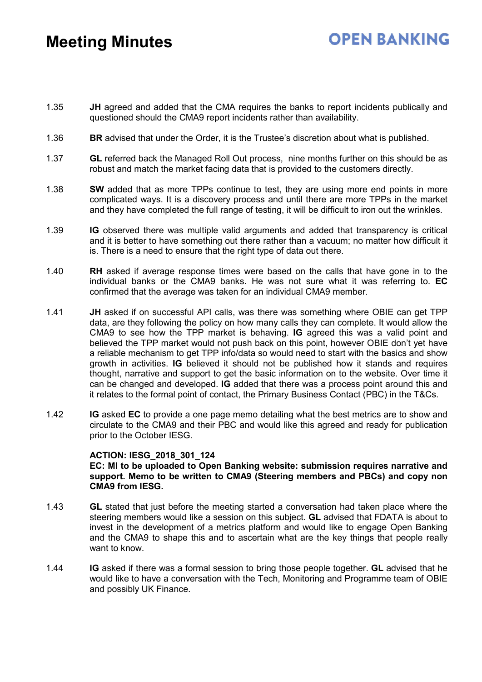## **OPEN BANKING**

- 1.35 **JH** agreed and added that the CMA requires the banks to report incidents publically and questioned should the CMA9 report incidents rather than availability.
- 1.36 **BR** advised that under the Order, it is the Trustee's discretion about what is published.
- 1.37 **GL** referred back the Managed Roll Out process, nine months further on this should be as robust and match the market facing data that is provided to the customers directly.
- 1.38 **SW** added that as more TPPs continue to test, they are using more end points in more complicated ways. It is a discovery process and until there are more TPPs in the market and they have completed the full range of testing, it will be difficult to iron out the wrinkles.
- 1.39 **IG** observed there was multiple valid arguments and added that transparency is critical and it is better to have something out there rather than a vacuum; no matter how difficult it is. There is a need to ensure that the right type of data out there.
- 1.40 **RH** asked if average response times were based on the calls that have gone in to the individual banks or the CMA9 banks. He was not sure what it was referring to. **EC** confirmed that the average was taken for an individual CMA9 member.
- 1.41 **JH** asked if on successful API calls, was there was something where OBIE can get TPP data, are they following the policy on how many calls they can complete. It would allow the CMA9 to see how the TPP market is behaving. **IG** agreed this was a valid point and believed the TPP market would not push back on this point, however OBIE don't yet have a reliable mechanism to get TPP info/data so would need to start with the basics and show growth in activities. **IG** believed it should not be published how it stands and requires thought, narrative and support to get the basic information on to the website. Over time it can be changed and developed. **IG** added that there was a process point around this and it relates to the formal point of contact, the Primary Business Contact (PBC) in the T&Cs.
- 1.42 **IG** asked **EC** to provide a one page memo detailing what the best metrics are to show and circulate to the CMA9 and their PBC and would like this agreed and ready for publication prior to the October IESG.

#### **ACTION: IESG\_2018\_301\_124**

#### **EC: MI to be uploaded to Open Banking website: submission requires narrative and support. Memo to be written to CMA9 (Steering members and PBCs) and copy non CMA9 from IESG.**

- 1.43 **GL** stated that just before the meeting started a conversation had taken place where the steering members would like a session on this subject. **GL** advised that FDATA is about to invest in the development of a metrics platform and would like to engage Open Banking and the CMA9 to shape this and to ascertain what are the key things that people really want to know.
- 1.44 **IG** asked if there was a formal session to bring those people together. **GL** advised that he would like to have a conversation with the Tech, Monitoring and Programme team of OBIE and possibly UK Finance.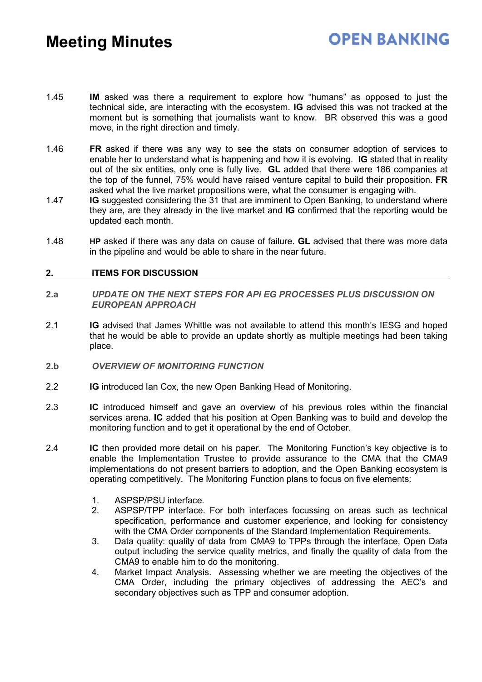### **OPEN BANKING**

- 1.45 **IM** asked was there a requirement to explore how "humans" as opposed to just the technical side, are interacting with the ecosystem. **IG** advised this was not tracked at the moment but is something that journalists want to know. BR observed this was a good move, in the right direction and timely.
- 1.46 **FR** asked if there was any way to see the stats on consumer adoption of services to enable her to understand what is happening and how it is evolving. **IG** stated that in reality out of the six entities, only one is fully live. **GL** added that there were 186 companies at the top of the funnel, 75% would have raised venture capital to build their proposition. **FR** asked what the live market propositions were, what the consumer is engaging with.
- 1.47 **IG** suggested considering the 31 that are imminent to Open Banking, to understand where they are, are they already in the live market and **IG** confirmed that the reporting would be updated each month.
- 1.48 **HP** asked if there was any data on cause of failure. **GL** advised that there was more data in the pipeline and would be able to share in the near future.

### **2. ITEMS FOR DISCUSSION**

- **2.a** *UPDATE ON THE NEXT STEPS FOR API EG PROCESSES PLUS DISCUSSION ON EUROPEAN APPROACH*
- 2.1 **IG** advised that James Whittle was not available to attend this month's IESG and hoped that he would be able to provide an update shortly as multiple meetings had been taking place.
- **2.b** *OVERVIEW OF MONITORING FUNCTION*
- 2.2 **IG** introduced Ian Cox, the new Open Banking Head of Monitoring.
- 2.3 **IC** introduced himself and gave an overview of his previous roles within the financial services arena. **IC** added that his position at Open Banking was to build and develop the monitoring function and to get it operational by the end of October.
- 2.4 **IC** then provided more detail on his paper. The Monitoring Function's key objective is to enable the Implementation Trustee to provide assurance to the CMA that the CMA9 implementations do not present barriers to adoption, and the Open Banking ecosystem is operating competitively. The Monitoring Function plans to focus on five elements:
	- 1. ASPSP/PSU interface.
	- 2. ASPSP/TPP interface. For both interfaces focussing on areas such as technical specification, performance and customer experience, and looking for consistency with the CMA Order components of the Standard Implementation Requirements.
	- 3. Data quality: quality of data from CMA9 to TPPs through the interface, Open Data output including the service quality metrics, and finally the quality of data from the CMA9 to enable him to do the monitoring.
	- 4. Market Impact Analysis. Assessing whether we are meeting the objectives of the CMA Order, including the primary objectives of addressing the AEC's and secondary objectives such as TPP and consumer adoption.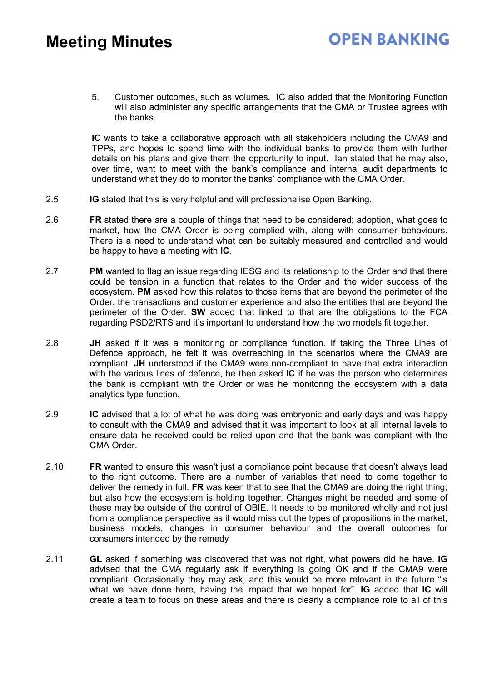5. Customer outcomes, such as volumes. IC also added that the Monitoring Function will also administer any specific arrangements that the CMA or Trustee agrees with the banks.

**IC** wants to take a collaborative approach with all stakeholders including the CMA9 and TPPs, and hopes to spend time with the individual banks to provide them with further details on his plans and give them the opportunity to input. Ian stated that he may also, over time, want to meet with the bank's compliance and internal audit departments to understand what they do to monitor the banks' compliance with the CMA Order.

- 2.5 **IG** stated that this is very helpful and will professionalise Open Banking.
- 2.6 **FR** stated there are a couple of things that need to be considered; adoption, what goes to market, how the CMA Order is being complied with, along with consumer behaviours. There is a need to understand what can be suitably measured and controlled and would be happy to have a meeting with **IC**.
- 2.7 **PM** wanted to flag an issue regarding IESG and its relationship to the Order and that there could be tension in a function that relates to the Order and the wider success of the ecosystem. **PM** asked how this relates to those items that are beyond the perimeter of the Order, the transactions and customer experience and also the entities that are beyond the perimeter of the Order. **SW** added that linked to that are the obligations to the FCA regarding PSD2/RTS and it's important to understand how the two models fit together.
- 2.8 **JH** asked if it was a monitoring or compliance function. If taking the Three Lines of Defence approach, he felt it was overreaching in the scenarios where the CMA9 are compliant. **JH** understood if the CMA9 were non-compliant to have that extra interaction with the various lines of defence, he then asked **IC** if he was the person who determines the bank is compliant with the Order or was he monitoring the ecosystem with a data analytics type function.
- 2.9 **IC** advised that a lot of what he was doing was embryonic and early days and was happy to consult with the CMA9 and advised that it was important to look at all internal levels to ensure data he received could be relied upon and that the bank was compliant with the CMA Order.
- 2.10 **FR** wanted to ensure this wasn't just a compliance point because that doesn't always lead to the right outcome. There are a number of variables that need to come together to deliver the remedy in full. **FR** was keen that to see that the CMA9 are doing the right thing; but also how the ecosystem is holding together. Changes might be needed and some of these may be outside of the control of OBIE. It needs to be monitored wholly and not just from a compliance perspective as it would miss out the types of propositions in the market, business models, changes in consumer behaviour and the overall outcomes for consumers intended by the remedy
- 2.11 **GL** asked if something was discovered that was not right, what powers did he have. **IG** advised that the CMA regularly ask if everything is going OK and if the CMA9 were compliant. Occasionally they may ask, and this would be more relevant in the future "is what we have done here, having the impact that we hoped for". **IG** added that **IC** will create a team to focus on these areas and there is clearly a compliance role to all of this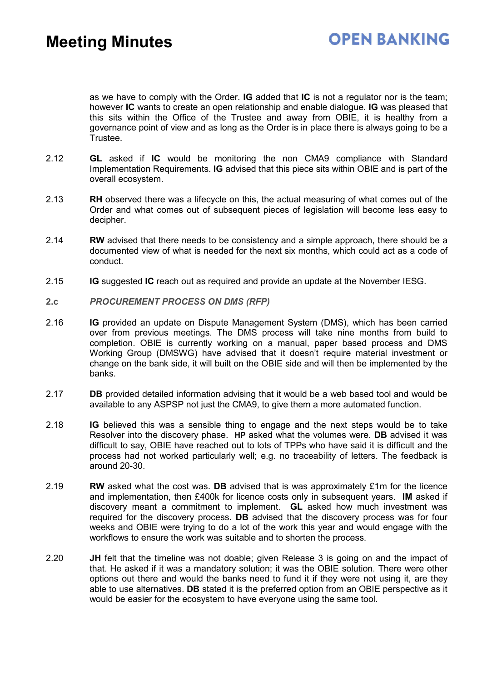as we have to comply with the Order. **IG** added that **IC** is not a regulator nor is the team; however **IC** wants to create an open relationship and enable dialogue. **IG** was pleased that this sits within the Office of the Trustee and away from OBIE, it is healthy from a governance point of view and as long as the Order is in place there is always going to be a Trustee.

- 2.12 **GL** asked if **IC** would be monitoring the non CMA9 compliance with Standard Implementation Requirements. **IG** advised that this piece sits within OBIE and is part of the overall ecosystem.
- 2.13 **RH** observed there was a lifecycle on this, the actual measuring of what comes out of the Order and what comes out of subsequent pieces of legislation will become less easy to decipher.
- 2.14 **RW** advised that there needs to be consistency and a simple approach, there should be a documented view of what is needed for the next six months, which could act as a code of conduct.
- 2.15 **IG** suggested **IC** reach out as required and provide an update at the November IESG.
- **2.c** *PROCUREMENT PROCESS ON DMS (RFP)*
- 2.16 **IG** provided an update on Dispute Management System (DMS), which has been carried over from previous meetings. The DMS process will take nine months from build to completion. OBIE is currently working on a manual, paper based process and DMS Working Group (DMSWG) have advised that it doesn't require material investment or change on the bank side, it will built on the OBIE side and will then be implemented by the banks.
- 2.17 **DB** provided detailed information advising that it would be a web based tool and would be available to any ASPSP not just the CMA9, to give them a more automated function.
- 2.18 **IG** believed this was a sensible thing to engage and the next steps would be to take Resolver into the discovery phase. **HP** asked what the volumes were. **DB** advised it was difficult to say, OBIE have reached out to lots of TPPs who have said it is difficult and the process had not worked particularly well; e.g. no traceability of letters. The feedback is around 20-30.
- 2.19 **RW** asked what the cost was. **DB** advised that is was approximately £1m for the licence and implementation, then £400k for licence costs only in subsequent years. **IM** asked if discovery meant a commitment to implement. **GL** asked how much investment was required for the discovery process. **DB** advised that the discovery process was for four weeks and OBIE were trying to do a lot of the work this year and would engage with the workflows to ensure the work was suitable and to shorten the process.
- 2.20 **JH** felt that the timeline was not doable; given Release 3 is going on and the impact of that. He asked if it was a mandatory solution; it was the OBIE solution. There were other options out there and would the banks need to fund it if they were not using it, are they able to use alternatives. **DB** stated it is the preferred option from an OBIE perspective as it would be easier for the ecosystem to have everyone using the same tool.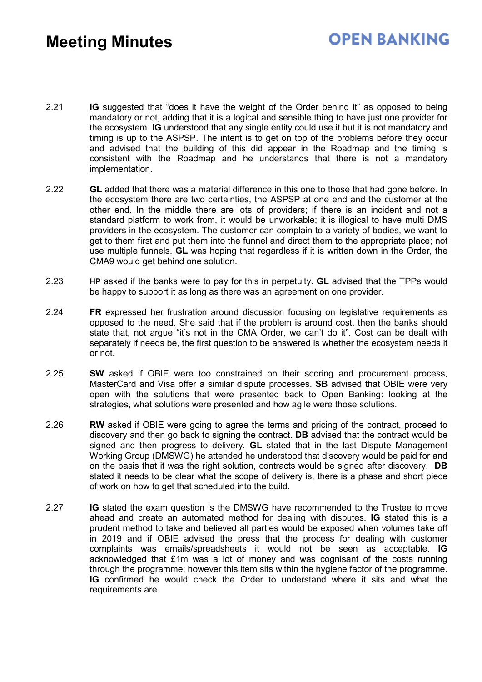### **OPEN BANKING**

- 2.21 **IG** suggested that "does it have the weight of the Order behind it" as opposed to being mandatory or not, adding that it is a logical and sensible thing to have just one provider for the ecosystem. **IG** understood that any single entity could use it but it is not mandatory and timing is up to the ASPSP. The intent is to get on top of the problems before they occur and advised that the building of this did appear in the Roadmap and the timing is consistent with the Roadmap and he understands that there is not a mandatory implementation.
- 2.22 **GL** added that there was a material difference in this one to those that had gone before. In the ecosystem there are two certainties, the ASPSP at one end and the customer at the other end. In the middle there are lots of providers; if there is an incident and not a standard platform to work from, it would be unworkable; it is illogical to have multi DMS providers in the ecosystem. The customer can complain to a variety of bodies, we want to get to them first and put them into the funnel and direct them to the appropriate place; not use multiple funnels. **GL** was hoping that regardless if it is written down in the Order, the CMA9 would get behind one solution.
- 2.23 **HP** asked if the banks were to pay for this in perpetuity. **GL** advised that the TPPs would be happy to support it as long as there was an agreement on one provider.
- 2.24 **FR** expressed her frustration around discussion focusing on legislative requirements as opposed to the need. She said that if the problem is around cost, then the banks should state that, not argue "it's not in the CMA Order, we can't do it". Cost can be dealt with separately if needs be, the first question to be answered is whether the ecosystem needs it or not.
- 2.25 **SW** asked if OBIE were too constrained on their scoring and procurement process, MasterCard and Visa offer a similar dispute processes. **SB** advised that OBIE were very open with the solutions that were presented back to Open Banking: looking at the strategies, what solutions were presented and how agile were those solutions.
- 2.26 **RW** asked if OBIE were going to agree the terms and pricing of the contract, proceed to discovery and then go back to signing the contract. **DB** advised that the contract would be signed and then progress to delivery. **GL** stated that in the last Dispute Management Working Group (DMSWG) he attended he understood that discovery would be paid for and on the basis that it was the right solution, contracts would be signed after discovery. **DB** stated it needs to be clear what the scope of delivery is, there is a phase and short piece of work on how to get that scheduled into the build.
- 2.27 **IG** stated the exam question is the DMSWG have recommended to the Trustee to move ahead and create an automated method for dealing with disputes. **IG** stated this is a prudent method to take and believed all parties would be exposed when volumes take off in 2019 and if OBIE advised the press that the process for dealing with customer complaints was emails/spreadsheets it would not be seen as acceptable. **IG** acknowledged that £1m was a lot of money and was cognisant of the costs running through the programme; however this item sits within the hygiene factor of the programme. **IG** confirmed he would check the Order to understand where it sits and what the requirements are.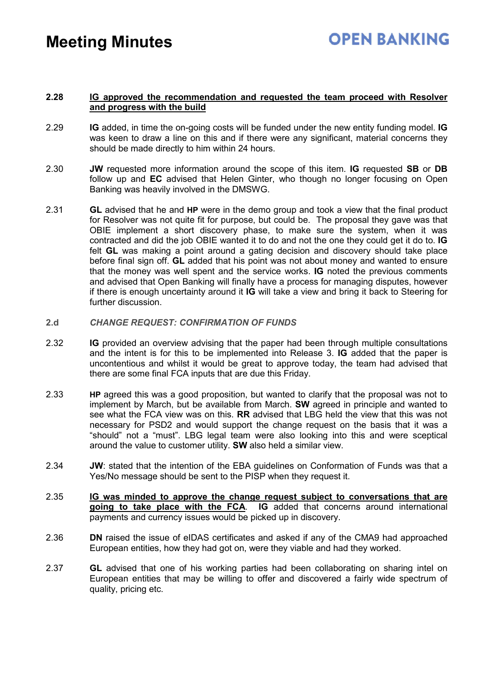### **2.28 IG approved the recommendation and requested the team proceed with Resolver and progress with the build**

- 2.29 **IG** added, in time the on-going costs will be funded under the new entity funding model. **IG** was keen to draw a line on this and if there were any significant, material concerns they should be made directly to him within 24 hours.
- 2.30 **JW** requested more information around the scope of this item. **IG** requested **SB** or **DB** follow up and **EC** advised that Helen Ginter, who though no longer focusing on Open Banking was heavily involved in the DMSWG.
- 2.31 **GL** advised that he and **HP** were in the demo group and took a view that the final product for Resolver was not quite fit for purpose, but could be. The proposal they gave was that OBIE implement a short discovery phase, to make sure the system, when it was contracted and did the job OBIE wanted it to do and not the one they could get it do to. **IG** felt **GL** was making a point around a gating decision and discovery should take place before final sign off. **GL** added that his point was not about money and wanted to ensure that the money was well spent and the service works. **IG** noted the previous comments and advised that Open Banking will finally have a process for managing disputes, however if there is enough uncertainty around it **IG** will take a view and bring it back to Steering for further discussion.
- **2.d** *CHANGE REQUEST: CONFIRMATION OF FUNDS*
- 2.32 **IG** provided an overview advising that the paper had been through multiple consultations and the intent is for this to be implemented into Release 3. **IG** added that the paper is uncontentious and whilst it would be great to approve today, the team had advised that there are some final FCA inputs that are due this Friday.
- 2.33 **HP** agreed this was a good proposition, but wanted to clarify that the proposal was not to implement by March, but be available from March. **SW** agreed in principle and wanted to see what the FCA view was on this. **RR** advised that LBG held the view that this was not necessary for PSD2 and would support the change request on the basis that it was a "should" not a "must". LBG legal team were also looking into this and were sceptical around the value to customer utility. **SW** also held a similar view.
- 2.34 **JW**: stated that the intention of the EBA guidelines on Conformation of Funds was that a Yes/No message should be sent to the PISP when they request it.
- 2.35 **IG was minded to approve the change request subject to conversations that are going to take place with the FCA**. **IG** added that concerns around international payments and currency issues would be picked up in discovery.
- 2.36 **DN** raised the issue of eIDAS certificates and asked if any of the CMA9 had approached European entities, how they had got on, were they viable and had they worked.
- 2.37 **GL** advised that one of his working parties had been collaborating on sharing intel on European entities that may be willing to offer and discovered a fairly wide spectrum of quality, pricing etc.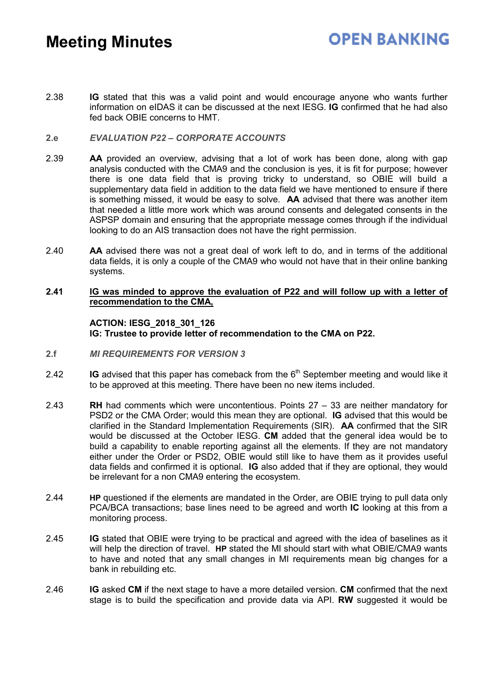### **OPEN BANKING**

2.38 **IG** stated that this was a valid point and would encourage anyone who wants further information on eIDAS it can be discussed at the next IESG. **IG** confirmed that he had also fed back OBIE concerns to HMT.

### **2.e** *EVALUATION P22 – CORPORATE ACCOUNTS*

- 2.39 **AA** provided an overview, advising that a lot of work has been done, along with gap analysis conducted with the CMA9 and the conclusion is yes, it is fit for purpose; however there is one data field that is proving tricky to understand, so OBIE will build a supplementary data field in addition to the data field we have mentioned to ensure if there is something missed, it would be easy to solve. **AA** advised that there was another item that needed a little more work which was around consents and delegated consents in the ASPSP domain and ensuring that the appropriate message comes through if the individual looking to do an AIS transaction does not have the right permission.
- 2.40 **AA** advised there was not a great deal of work left to do, and in terms of the additional data fields, it is only a couple of the CMA9 who would not have that in their online banking systems.

### **2.41 IG was minded to approve the evaluation of P22 and will follow up with a letter of recommendation to the CMA,**

#### **ACTION: IESG\_2018\_301\_126 IG: Trustee to provide letter of recommendation to the CMA on P22.**

- **2.f** *MI REQUIREMENTS FOR VERSION 3*
- 2.42 **IG** advised that this paper has comeback from the 6<sup>th</sup> September meeting and would like it to be approved at this meeting. There have been no new items included.
- 2.43 **RH** had comments which were uncontentious. Points 27 33 are neither mandatory for PSD2 or the CMA Order; would this mean they are optional. **IG** advised that this would be clarified in the Standard Implementation Requirements (SIR). **AA** confirmed that the SIR would be discussed at the October IESG. **CM** added that the general idea would be to build a capability to enable reporting against all the elements. If they are not mandatory either under the Order or PSD2, OBIE would still like to have them as it provides useful data fields and confirmed it is optional. **IG** also added that if they are optional, they would be irrelevant for a non CMA9 entering the ecosystem.
- 2.44 **HP** questioned if the elements are mandated in the Order, are OBIE trying to pull data only PCA/BCA transactions; base lines need to be agreed and worth **IC** looking at this from a monitoring process.
- 2.45 **IG** stated that OBIE were trying to be practical and agreed with the idea of baselines as it will help the direction of travel. **HP** stated the MI should start with what OBIE/CMA9 wants to have and noted that any small changes in MI requirements mean big changes for a bank in rebuilding etc.
- 2.46 **IG** asked **CM** if the next stage to have a more detailed version. **CM** confirmed that the next stage is to build the specification and provide data via API. **RW** suggested it would be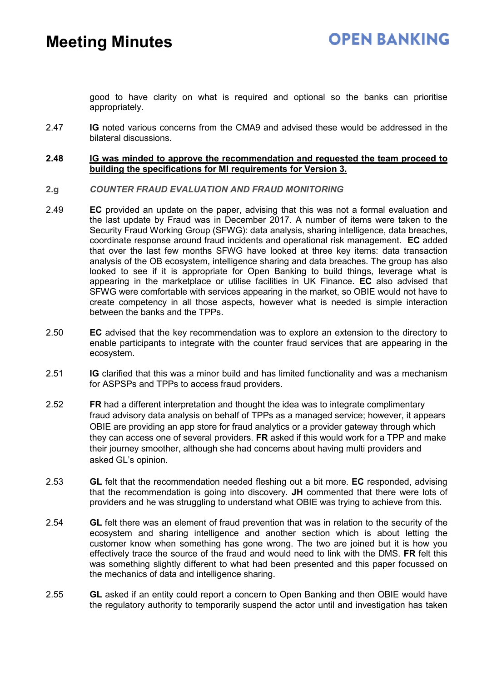good to have clarity on what is required and optional so the banks can prioritise appropriately.

2.47 **IG** noted various concerns from the CMA9 and advised these would be addressed in the bilateral discussions.

### **2.48 IG was minded to approve the recommendation and requested the team proceed to building the specifications for MI requirements for Version 3.**

- **2.g** *COUNTER FRAUD EVALUATION AND FRAUD MONITORING*
- 2.49 **EC** provided an update on the paper, advising that this was not a formal evaluation and the last update by Fraud was in December 2017. A number of items were taken to the Security Fraud Working Group (SFWG): data analysis, sharing intelligence, data breaches, coordinate response around fraud incidents and operational risk management. **EC** added that over the last few months SFWG have looked at three key items: data transaction analysis of the OB ecosystem, intelligence sharing and data breaches. The group has also looked to see if it is appropriate for Open Banking to build things, leverage what is appearing in the marketplace or utilise facilities in UK Finance. **EC** also advised that SFWG were comfortable with services appearing in the market, so OBIE would not have to create competency in all those aspects, however what is needed is simple interaction between the banks and the TPPs.
- 2.50 **EC** advised that the key recommendation was to explore an extension to the directory to enable participants to integrate with the counter fraud services that are appearing in the ecosystem.
- 2.51 **IG** clarified that this was a minor build and has limited functionality and was a mechanism for ASPSPs and TPPs to access fraud providers.
- 2.52 **FR** had a different interpretation and thought the idea was to integrate complimentary fraud advisory data analysis on behalf of TPPs as a managed service; however, it appears OBIE are providing an app store for fraud analytics or a provider gateway through which they can access one of several providers. **FR** asked if this would work for a TPP and make their journey smoother, although she had concerns about having multi providers and asked GL's opinion.
- 2.53 **GL** felt that the recommendation needed fleshing out a bit more. **EC** responded, advising that the recommendation is going into discovery. **JH** commented that there were lots of providers and he was struggling to understand what OBIE was trying to achieve from this.
- 2.54 **GL** felt there was an element of fraud prevention that was in relation to the security of the ecosystem and sharing intelligence and another section which is about letting the customer know when something has gone wrong. The two are joined but it is how you effectively trace the source of the fraud and would need to link with the DMS. **FR** felt this was something slightly different to what had been presented and this paper focussed on the mechanics of data and intelligence sharing.
- 2.55 **GL** asked if an entity could report a concern to Open Banking and then OBIE would have the regulatory authority to temporarily suspend the actor until and investigation has taken